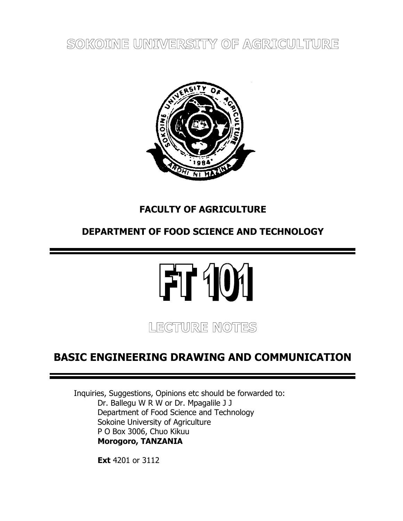**SOKOINE UNIVERSITY OF AGRICULTURE**



# **FACULTY OF AGRICULTURE**

# **DEPARTMENT OF FOOD SCIENCE AND TECHNOLOGY**

# FT 101

**LECTURE NOTES**

# **BASIC ENGINEERING DRAWING AND COMMUNICATION**

Inquiries, Suggestions, Opinions etc should be forwarded to: Dr. Ballegu W R W or Dr. Mpagalile J J Department of Food Science and Technology Sokoine University of Agriculture P O Box 3006, Chuo Kikuu **Morogoro, TANZANIA**

**Ext** 4201 or 3112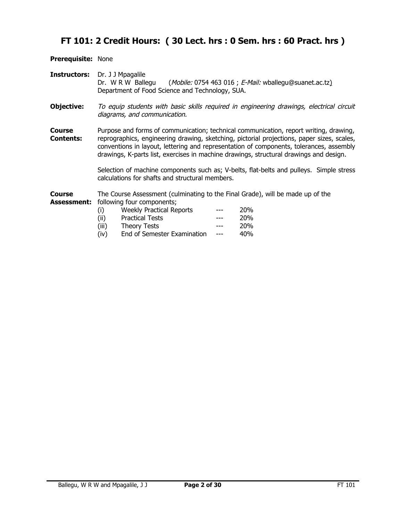# **FT 101: 2 Credit Hours: ( 30 Lect. hrs : 0 Sem. hrs : 60 Pract. hrs )**

**Prerequisite:** None

- **Instructors:** Dr. J J Mpagalile Dr. W R W Ballegu (Mobile: 0754 463 016 ; E-Mail: [wballegu@s](mailto:wballegu@)uanet.ac.tz) Department of Food Science and Technology, SUA.
- **Objective:** To equip students with basic skills required in engineering drawings, electrical circuit diagrams, and communication.
- **Course** Purpose and forms of communication; technical communication, report writing, drawing, **Contents:** reprographics, engineering drawing, sketching, pictorial projections, paper sizes, scales, conventions in layout, lettering and representation of components, tolerances, assembly drawings, K-parts list, exercises in machine drawings, structural drawings and design.

Selection of machine components such as; V-belts, flat-belts and pulleys. Simple stress calculations for shafts and structural members.

**Course** The Course Assessment (culminating to the Final Grade), will be made up of the **Assessment:** following four components;

- (i) Weekly Practical Reports --- 20% (ii) Practical Tests --- 20% (iii) Theory Tests --- 20%
- (iv) End of Semester Examination --- 40%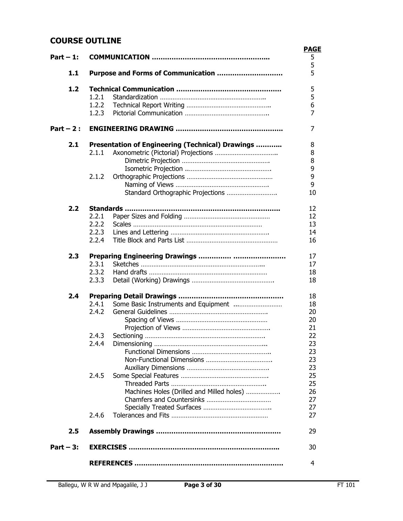## **COURSE OUTLINE**

|             |                                                  | <b>PAGE</b> |
|-------------|--------------------------------------------------|-------------|
| Part $-1$ : |                                                  | 5           |
| 1.1         | Purpose and Forms of Communication               | 5<br>5      |
|             |                                                  |             |
| 1.2         |                                                  | 5           |
|             | 1.2.1                                            | 5           |
|             | 1.2.2                                            | 6           |
|             | 1.2.3                                            | 7           |
| Part $-2$ : |                                                  | 7           |
| 2.1         | Presentation of Engineering (Technical) Drawings | 8           |
|             | 2.1.1                                            | 8           |
|             |                                                  | 8           |
|             |                                                  | 9           |
|             | 2.1.2                                            | 9           |
|             |                                                  | 9           |
|             | Standard Orthographic Projections                | 10          |
| 2.2         |                                                  | 12          |
|             | 2.2.1                                            | 12          |
|             | 2.2.2                                            | 13          |
|             | 2.2.3                                            | 14          |
|             | 2.2.4                                            | 16          |
| 2.3         |                                                  | 17          |
|             | 2.3.1                                            | 17          |
|             | 2.3.2                                            | 18          |
|             | 2.3.3                                            | 18          |
| 2.4         |                                                  | 18          |
|             | Some Basic Instruments and Equipment<br>2.4.1    | 18          |
|             | 2.4.2                                            | 20          |
|             |                                                  | 20          |
|             |                                                  | 21          |
|             | 2.4.3                                            | 22          |
|             | 2.4.4                                            | 23          |
|             |                                                  | 23          |
|             |                                                  | 23          |
|             |                                                  | 23          |
|             | 2.4.5                                            | 25          |
|             |                                                  | 25          |
|             | Machines Holes (Drilled and Milled holes)        | 26          |
|             |                                                  | 27          |
|             |                                                  | 27          |
|             | 2.4.6                                            | 27          |
| 2.5         |                                                  | 29          |
| Part $-3$ : |                                                  | 30          |
|             |                                                  | 4           |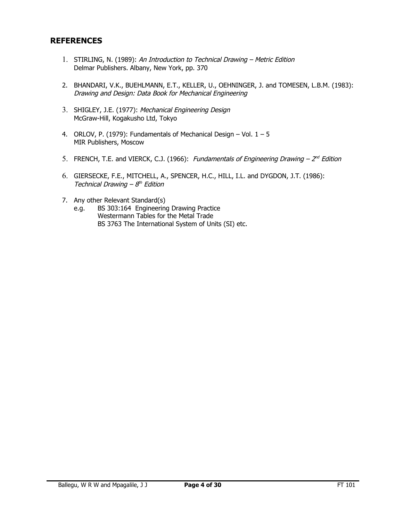## **REFERENCES**

- 1. STIRLING, N. (1989): An Introduction to Technical Drawing Metric Edition Delmar Publishers. Albany, New York, pp. 370
- 2. BHANDARI, V.K., BUEHLMANN, E.T., KELLER, U., OEHNINGER, J. and TOMESEN, L.B.M. (1983): Drawing and Design: Data Book for Mechanical Engineering
- 3. SHIGLEY, J.E. (1977): Mechanical Engineering Design McGraw-Hill, Kogakusho Ltd, Tokyo
- 4. ORLOV, P. (1979): Fundamentals of Mechanical Design Vol.  $1 5$ MIR Publishers, Moscow
- 5. FRENCH, T.E. and VIERCK, C.J. (1966): Fundamentals of Engineering Drawing  $-2^{nd}$  Edition
- 6. GIERSECKE, F.E., MITCHELL, A., SPENCER, H.C., HILL, I.L. and DYGDON, J.T. (1986): Technical Drawing  $-8<sup>th</sup>$  Edition
- 7. Any other Relevant Standard(s)
	- e.g. BS 303:164 Engineering Drawing Practice Westermann Tables for the Metal Trade BS 3763 The International System of Units (SI) etc.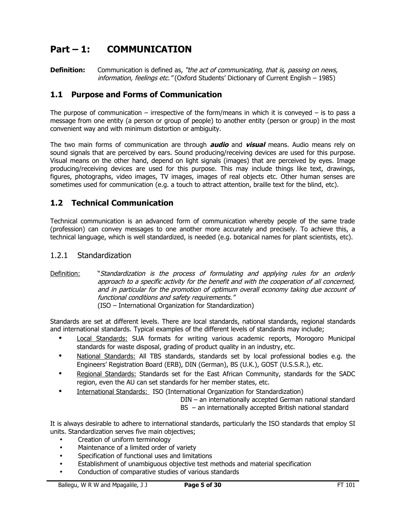# **Part – 1: COMMUNICATION**

**Definition:** Communication is defined as, "the act of communicating, that is, passing on news, information, feelings etc." (Oxford Students' Dictionary of Current English – 1985)

## **1.1 Purpose and Forms of Communication**

The purpose of communication – irrespective of the form/means in which it is conveyed – is to pass a message from one entity (a person or group of people) to another entity (person or group) in the most convenient way and with minimum distortion or ambiguity.

The two main forms of communication are through **audio** and **visual** means. Audio means rely on sound signals that are perceived by ears. Sound producing/receiving devices are used for this purpose. Visual means on the other hand, depend on light signals (images) that are perceived by eyes. Image producing/receiving devices are used for this purpose. This may include things like text, drawings, figures, photographs, video images, TV images, images of real objects etc. Other human senses are sometimes used for communication (e.g. a touch to attract attention, braille text for the blind, etc).

## **1.2 Technical Communication**

Technical communication is an advanced form of communication whereby people of the same trade (profession) can convey messages to one another more accurately and precisely. To achieve this, a technical language, which is well standardized, is needed (e.g. botanical names for plant scientists, etc).

## 1.2.1 Standardization

Definition: "Standardization is the process of formulating and applying rules for an orderly approach to a specific activity for the benefit and with the cooperation of all concerned, and in particular for the promotion of optimum overall economy taking due account of functional conditions and safety requirements." (ISO – International Organization for Standardization)

Standards are set at different levels. There are local standards, national standards, regional standards and international standards. Typical examples of the different levels of standards may include;

- Local Standards: SUA formats for writing various academic reports, Morogoro Municipal standards for waste disposal, grading of product quality in an industry, etc.
- National Standards: All TBS standards, standards set by local professional bodies e.g. the Engineers' Registration Board (ERB), DIN (German), BS (U.K.), GOST (U.S.S.R.), etc.
- Regional Standards: Standards set for the East African Community, standards for the SADC region, even the AU can set standards for her member states, etc.
- International Standards: ISO (International Organization for Standardization)

DIN – an internationally accepted German national standard

BS – an internationally accepted British national standard

It is always desirable to adhere to international standards, particularly the ISO standards that employ SI units. Standardization serves five main objectives;

- Creation of uniform terminology
- Maintenance of a limited order of variety
- Specification of functional uses and limitations
- Establishment of unambiguous objective test methods and material specification
- Conduction of comparative studies of various standards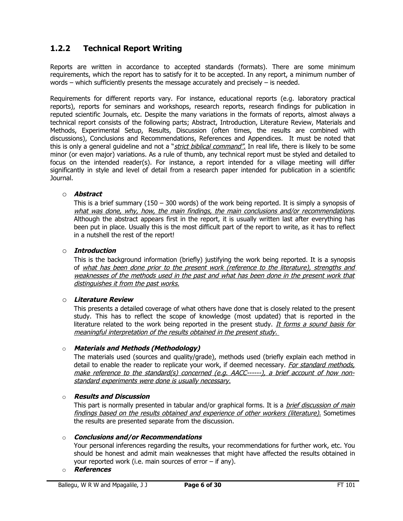## **1.2.2 Technical Report Writing**

Reports are written in accordance to accepted standards (formats). There are some minimum requirements, which the report has to satisfy for it to be accepted. In any report, a minimum number of words – which sufficiently presents the message accurately and precisely – is needed.

Requirements for different reports vary. For instance, educational reports (e.g. laboratory practical reports), reports for seminars and workshops, research reports, research findings for publication in reputed scientific Journals, etc. Despite the many variations in the formats of reports, almost always a technical report consists of the following parts; Abstract, Introduction, Literature Review, Materials and Methods, Experimental Setup, Results, Discussion (often times, the results are combined with discussions), Conclusions and Recommendations, References and Appendices. It must be noted that this is only a general guideline and not a "*strict biblical command"*. In real life, there is likely to be some minor (or even major) variations. As a rule of thumb, any technical report must be styled and detailed to focus on the intended reader(s). For instance, a report intended for a village meeting will differ significantly in style and level of detail from a research paper intended for publication in a scientific Journal.

#### o **Abstract**

This is a brief summary (150 – 300 words) of the work being reported. It is simply a synopsis of what was done, why, how, the main findings, the main conclusions and/or recommendations. Although the abstract appears first in the report, it is usually written last after everything has been put in place. Usually this is the most difficult part of the report to write, as it has to reflect in a nutshell the rest of the report!

#### o **Introduction**

This is the background information (briefly) justifying the work being reported. It is a synopsis of what has been done prior to the present work (reference to the literature), strengths and weaknesses of the methods used in the past and what has been done in the present work that distinguishes it from the past works.

#### o **Literature Review**

This presents a detailed coverage of what others have done that is closely related to the present study. This has to reflect the scope of knowledge (most updated) that is reported in the literature related to the work being reported in the present study. It forms a sound basis for meaningful interpretation of the results obtained in the present study.

#### o **Materials and Methods (Methodology)**

The materials used (sources and quality/grade), methods used (briefly explain each method in detail to enable the reader to replicate your work, if deemed necessary. For standard methods, make reference to the standard(s) concerned (e.g. AACC------), a brief account of how nonstandard experiments were done is usually necessary.

#### o **Results and Discussion**

This part is normally presented in tabular and/or graphical forms. It is a *brief discussion of main* findings based on the results obtained and experience of other workers (literature). Sometimes the results are presented separate from the discussion.

#### o **Conclusions and/or Recommendations**

Your personal inferences regarding the results, your recommendations for further work, etc. You should be honest and admit main weaknesses that might have affected the results obtained in your reported work (i.e. main sources of error – if any).

#### o **References**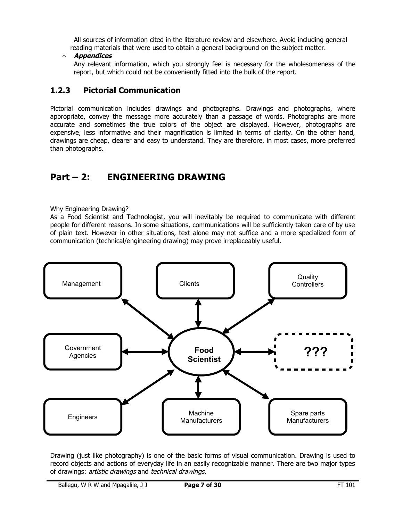All sources of information cited in the literature review and elsewhere. Avoid including general reading materials that were used to obtain a general background on the subject matter.

## o **Appendices**

Any relevant information, which you strongly feel is necessary for the wholesomeness of the report, but which could not be conveniently fitted into the bulk of the report.

## **1.2.3 Pictorial Communication**

Pictorial communication includes drawings and photographs. Drawings and photographs, where appropriate, convey the message more accurately than a passage of words. Photographs are more accurate and sometimes the true colors of the object are displayed. However, photographs are expensive, less informative and their magnification is limited in terms of clarity. On the other hand, drawings are cheap, clearer and easy to understand. They are therefore, in most cases, more preferred than photographs.

# **Part – 2: ENGINEERING DRAWING**

#### Why Engineering Drawing?

As a Food Scientist and Technologist, you will inevitably be required to communicate with different people for different reasons. In some situations, communications will be sufficiently taken care of by use of plain text. However in other situations, text alone may not suffice and a more specialized form of communication (technical/engineering drawing) may prove irreplaceably useful.



Drawing (just like photography) is one of the basic forms of visual communication. Drawing is used to record objects and actions of everyday life in an easily recognizable manner. There are two major types of drawings: artistic drawings and technical drawings.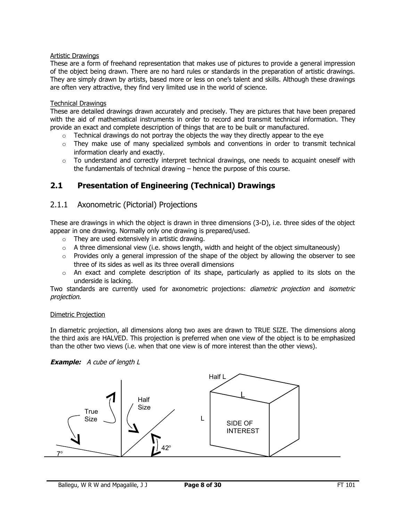## Artistic Drawings

These are a form of freehand representation that makes use of pictures to provide a general impression of the object being drawn. There are no hard rules or standards in the preparation of artistic drawings. They are simply drawn by artists, based more or less on one's talent and skills. Although these drawings are often very attractive, they find very limited use in the world of science.

#### Technical Drawings

These are detailed drawings drawn accurately and precisely. They are pictures that have been prepared with the aid of mathematical instruments in order to record and transmit technical information. They provide an exact and complete description of things that are to be built or manufactured.

- $\circ$  Technical drawings do not portray the objects the way they directly appear to the eye
- $\circ$  They make use of many specialized symbols and conventions in order to transmit technical information clearly and exactly.
- $\circ$  To understand and correctly interpret technical drawings, one needs to acquaint oneself with the fundamentals of technical drawing – hence the purpose of this course.

## **2.1 Presentation of Engineering (Technical) Drawings**

## 2.1.1 Axonometric (Pictorial) Projections

These are drawings in which the object is drawn in three dimensions (3-D), i.e. three sides of the object appear in one drawing. Normally only one drawing is prepared/used.

- o They are used extensively in artistic drawing.
- $\circ$  A three dimensional view (i.e. shows length, width and height of the object simultaneously)
- $\circ$  Provides only a general impression of the shape of the object by allowing the observer to see three of its sides as well as its three overall dimensions
- $\circ$  An exact and complete description of its shape, particularly as applied to its slots on the underside is lacking.

Two standards are currently used for axonometric projections: *diametric projection* and *isometric* projection.

#### Dimetric Projection

In diametric projection, all dimensions along two axes are drawn to TRUE SIZE. The dimensions along the third axis are HALVED. This projection is preferred when one view of the object is to be emphasized than the other two views (i.e. when that one view is of more interest than the other views).



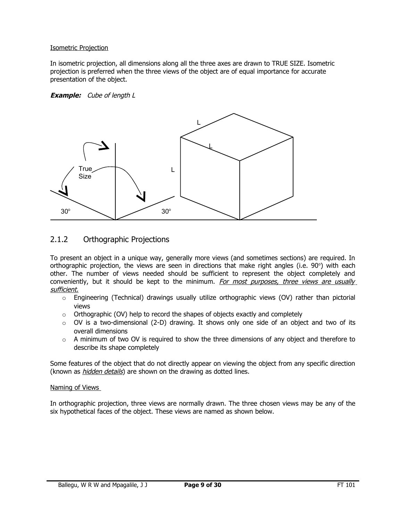#### Isometric Projection

In isometric projection, all dimensions along all the three axes are drawn to TRUE SIZE. Isometric projection is preferred when the three views of the object are of equal importance for accurate presentation of the object.

#### **Example:** Cube of length L



## 2.1.2 Orthographic Projections

To present an object in a unique way, generally more views (and sometimes sections) are required. In orthographic projection, the views are seen in directions that make right angles (i.e.  $90^{\circ}$ ) with each other. The number of views needed should be sufficient to represent the object completely and conveniently, but it should be kept to the minimum. For most purposes, three views are usually sufficient.

- $\circ$  Engineering (Technical) drawings usually utilize orthographic views (OV) rather than pictorial views
- $\circ$  Orthographic (OV) help to record the shapes of objects exactly and completely
- $\circ$  OV is a two-dimensional (2-D) drawing. It shows only one side of an object and two of its overall dimensions
- $\circ$  A minimum of two OV is required to show the three dimensions of any object and therefore to describe its shape completely

Some features of the object that do not directly appear on viewing the object from any specific direction (known as *hidden details*) are shown on the drawing as dotted lines.

#### Naming of Views

In orthographic projection, three views are normally drawn. The three chosen views may be any of the six hypothetical faces of the object. These views are named as shown below.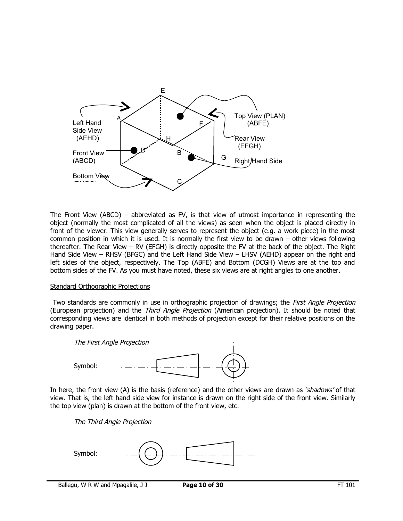

The Front View (ABCD) – abbreviated as FV, is that view of utmost importance in representing the object (normally the most complicated of all the views) as seen when the object is placed directly in front of the viewer. This view generally serves to represent the object (e.g. a work piece) in the most common position in which it is used. It is normally the first view to be drawn – other views following thereafter. The Rear View – RV (EFGH) is directly opposite the FV at the back of the object. The Right Hand Side View – RHSV (BFGC) and the Left Hand Side View – LHSV (AEHD) appear on the right and left sides of the object, respectively. The Top (ABFE) and Bottom (DCGH) Views are at the top and bottom sides of the FV. As you must have noted, these six views are at right angles to one another.

#### Standard Orthographic Projections

Two standards are commonly in use in orthographic projection of drawings; the *First Angle Projection* (European projection) and the Third Angle Projection (American projection). It should be noted that corresponding views are identical in both methods of projection except for their relative positions on the drawing paper.



In here, the front view (A) is the basis (reference) and the other views are drawn as 'shadows' of that view. That is, the left hand side view for instance is drawn on the right side of the front view. Similarly the top view (plan) is drawn at the bottom of the front view, etc.

The Third Angle Projection

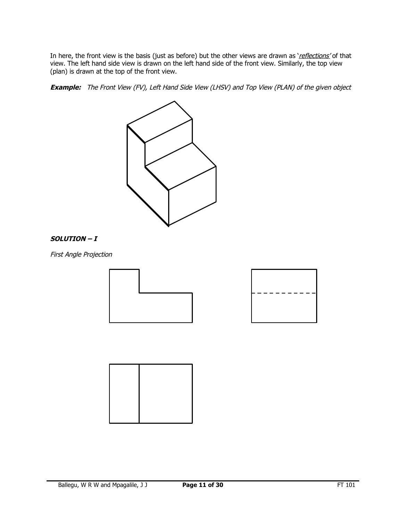In here, the front view is the basis (just as before) but the other views are drawn as 'reflections' of that view. The left hand side view is drawn on the left hand side of the front view. Similarly, the top view (plan) is drawn at the top of the front view.

**Example:** The Front View (FV), Left Hand Side View (LHSV) and Top View (PLAN) of the given object



#### **SOLUTION – I**

First Angle Projection





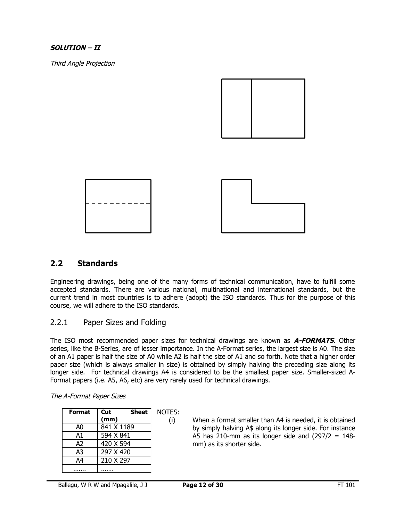## **SOLUTION – II**

Third Angle Projection





## **2.2 Standards**

Engineering drawings, being one of the many forms of technical communication, have to fulfill some accepted standards. There are various national, multinational and international standards, but the current trend in most countries is to adhere (adopt) the ISO standards. Thus for the purpose of this course, we will adhere to the ISO standards.

## 2.2.1 Paper Sizes and Folding

The ISO most recommended paper sizes for technical drawings are known as **A-FORMATS**. Other series, like the B-Series, are of lesser importance. In the A-Format series, the largest size is A0. The size of an A1 paper is half the size of A0 while A2 is half the size of A1 and so forth. Note that a higher order paper size (which is always smaller in size) is obtained by simply halving the preceding size along its longer side. For technical drawings A4 is considered to be the smallest paper size. Smaller-sized A-Format papers (i.e. A5, A6, etc) are very rarely used for technical drawings.

| <b>Format</b>  | <b>Sheet</b><br>Cut | NOTES: |
|----------------|---------------------|--------|
|                | (mm)                | (i)    |
| A0             | 841 X 1189          |        |
| A1             | 594 X 841           |        |
| A2             | 420 X 594           |        |
| A3             | 297 X 420           |        |
| A <sub>4</sub> | 210 X 297           |        |
|                |                     |        |

#### The A-Format Paper Sizes

(i) When a format smaller than A4 is needed, it is obtained by simply halving A\$ along its longer side. For instance A5 has 210-mm as its longer side and  $(297/2 = 148$ mm) as its shorter side.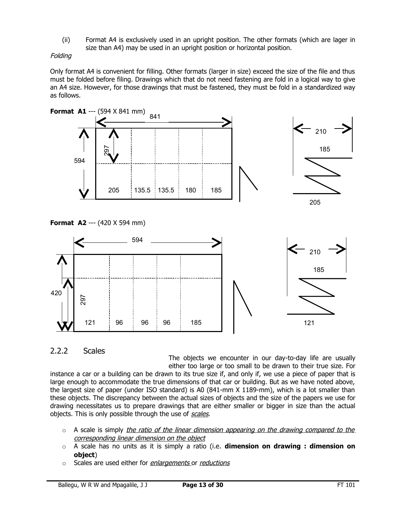(ii) Format A4 is exclusively used in an upright position. The other formats (which are lager in size than A4) may be used in an upright position or horizontal position.

## Folding

Only format A4 is convenient for filling. Other formats (larger in size) exceed the size of the file and thus must be folded before filing. Drawings which that do not need fastening are fold in a logical way to give an A4 size. However, for those drawings that must be fastened, they must be fold in a standardized way as follows.



## 2.2.2 Scales

The objects we encounter in our day-to-day life are usually either too large or too small to be drawn to their true size. For instance a car or a building can be drawn to its true size if, and only if, we use a piece of paper that is large enough to accommodate the true dimensions of that car or building. But as we have noted above, the largest size of paper (under ISO standard) is A0 (841-mm X 1189-mm), which is a lot smaller than these objects. The discrepancy between the actual sizes of objects and the size of the papers we use for drawing necessitates us to prepare drawings that are either smaller or bigger in size than the actual objects. This is only possible through the use of *scales*.

- $\circ$  A scale is simply the ratio of the linear dimension appearing on the drawing compared to the corresponding linear dimension on the object
- o A scale has no units as it is simply a ratio (i.e. **dimension on drawing : dimension on object**)
- o Scales are used either for enlargements or reductions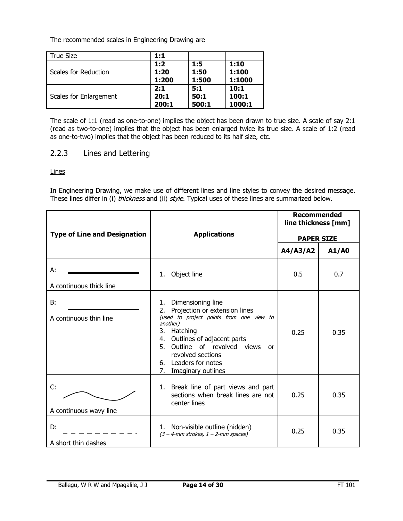The recommended scales in Engineering Drawing are

| True Size              | 1:1         |             |               |
|------------------------|-------------|-------------|---------------|
| Scales for Reduction   | 1:2<br>1:20 | 1:5<br>1:50 | 1:10<br>1:100 |
|                        | 1:200       | 1:500       | 1:1000        |
| Scales for Enlargement | 2:1<br>20:1 | 5:1<br>50:1 | 10:1<br>100:1 |
|                        | 200:1       | 500:1       | 1000:1        |

The scale of 1:1 (read as one-to-one) implies the object has been drawn to true size. A scale of say 2:1 (read as two-to-one) implies that the object has been enlarged twice its true size. A scale of 1:2 (read as one-to-two) implies that the object has been reduced to its half size, etc.

## 2.2.3 Lines and Lettering

Lines

In Engineering Drawing, we make use of different lines and line styles to convey the desired message. These lines differ in (i) thickness and (ii) style. Typical uses of these lines are summarized below.

|                                     |                                                                                                                                                                                                                                                                                                | <b>Recommended</b><br>line thickness [mm] |       |  |
|-------------------------------------|------------------------------------------------------------------------------------------------------------------------------------------------------------------------------------------------------------------------------------------------------------------------------------------------|-------------------------------------------|-------|--|
| <b>Type of Line and Designation</b> | <b>Applications</b>                                                                                                                                                                                                                                                                            | <b>PAPER SIZE</b>                         |       |  |
|                                     |                                                                                                                                                                                                                                                                                                | A4/A3/A2                                  | A1/A0 |  |
| А:<br>A continuous thick line       | 1. Object line                                                                                                                                                                                                                                                                                 | 0.5                                       | 0.7   |  |
| B:<br>A continuous thin line        | Dimensioning line<br>1.<br>Projection or extension lines<br>2.<br>(used to project points from one view to<br>another)<br>3.<br>Hatching<br>Outlines of adjacent parts<br>4.<br>Outline of revolved views<br>5.<br>0r<br>revolved sections<br>6. Leaders for notes<br>7.<br>Imaginary outlines | 0.25                                      | 0.35  |  |
| C:<br>A continuous wavy line        | 1. Break line of part views and part<br>sections when break lines are not<br>center lines                                                                                                                                                                                                      | 0.25                                      | 0.35  |  |
| D:<br>A short thin dashes           | 1. Non-visible outline (hidden)<br>$(3 - 4$ -mm strokes, $1 - 2$ -mm spaces)                                                                                                                                                                                                                   | 0.25                                      | 0.35  |  |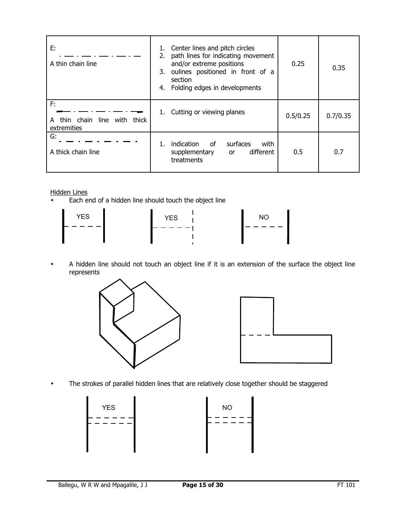| E:<br>A thin chain line                                 | Center lines and pitch circles<br>1.<br>path lines for indicating movement<br>2.<br>and/or extreme positions<br>oulines positioned in front of a<br>3.<br>section<br>Folding edges in developments<br>4. | 0.25     | 0.35     |
|---------------------------------------------------------|----------------------------------------------------------------------------------------------------------------------------------------------------------------------------------------------------------|----------|----------|
| F:<br>thin chain<br>line with thick<br>A<br>extremities | Cutting or viewing planes<br>1.                                                                                                                                                                          | 0.5/0.25 | 0.7/0.35 |
| G:<br>A thick chain line                                | of<br>surfaces<br>indication<br>with<br>different<br>supplementary<br>or<br>treatments                                                                                                                   | 0.5      | 0.7      |

Hidden Lines

• Each end of a hidden line should touch the object line

| <b>YES</b> | <b>YES</b> | NO |
|------------|------------|----|
|            |            |    |

• A hidden line should not touch an object line if it is an extension of the surface the object line represents





• The strokes of parallel hidden lines that are relatively close together should be staggered

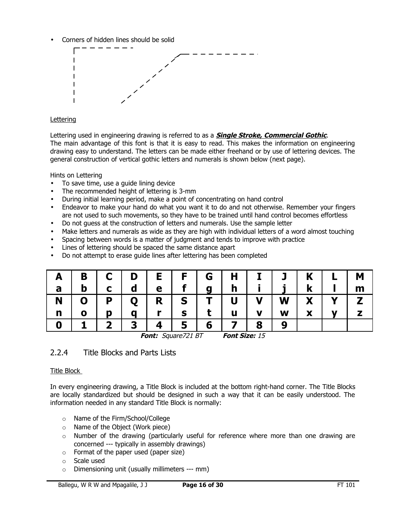• Corners of hidden lines should be solid



## **Lettering**

Lettering used in engineering drawing is referred to as a **Single Stroke, Commercial Gothic**. The main advantage of this font is that it is easy to read. This makes the information on engineering drawing easy to understand. The letters can be made either freehand or by use of lettering devices. The general construction of vertical gothic letters and numerals is shown below (next page).

Hints on Lettering

- To save time, use a guide lining device
- The recommended height of lettering is 3-mm
- During initial learning period, make a point of concentrating on hand control
- Endeavor to make your hand do what you want it to do and not otherwise. Remember your fingers are not used to such movements, so they have to be trained until hand control becomes effortless
- Do not guess at the construction of letters and numerals. Use the sample letter
- Make letters and numerals as wide as they are high with individual letters of a word almost touching
- Spacing between words is a matter of judgment and tends to improve with practice
- Lines of lettering should be spaced the same distance apart
- Do not attempt to erase guide lines after lettering has been completed

|   | B | $C$ | D           | E I      | $\blacksquare$ F $\blacksquare$ | G   | $H$          |              | $I$ $J$ $K$ |                          |              | M |
|---|---|-----|-------------|----------|---------------------------------|-----|--------------|--------------|-------------|--------------------------|--------------|---|
| a | b |     |             | e        |                                 | a   | $\mathsf{h}$ |              |             | $\mathbf k$              |              | m |
| N | 0 | P   | $\mathbf 0$ | R        | $\mathbf S$                     | $T$ | $\mathbf U$  | $\mathbf{V}$ | <b>W</b>    | $\mathbf{X}$             | $\mathbf{Y}$ |   |
| n |   |     | a           |          | S                               |     | u            | V            | W           | $\overline{\phantom{a}}$ |              |   |
|   |   |     | 2           | $\Delta$ | 5                               | 6   |              | 8            |             |                          |              |   |

**Font:** Square721 BT **Font Size:** 15

## 2.2.4 Title Blocks and Parts Lists

## Title Block

In every engineering drawing, a Title Block is included at the bottom right-hand corner. The Title Blocks are locally standardized but should be designed in such a way that it can be easily understood. The information needed in any standard Title Block is normally:

- o Name of the Firm/School/College
- o Name of the Object (Work piece)
- $\circ$  Number of the drawing (particularly useful for reference where more than one drawing are concerned --- typically in assembly drawings)
- o Format of the paper used (paper size)
- o Scale used
- o Dimensioning unit (usually millimeters --- mm)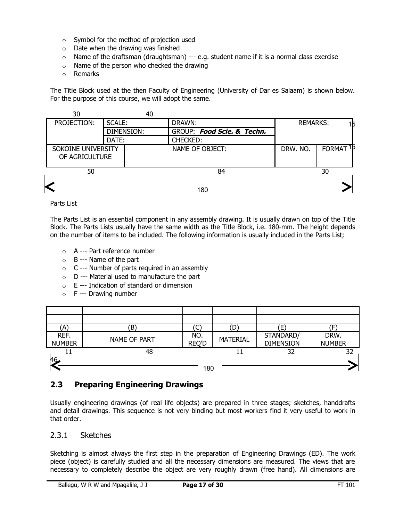- o Symbol for the method of projection used
- $\circ$  Date when the drawing was finished
- $\circ$  Name of the draftsman (draughtsman) --- e.g. student name if it is a normal class exercise
- o Name of the person who checked the drawing
- o Remarks

The Title Block used at the then Faculty of Engineering (University of Dar es Salaam) is shown below. For the purpose of this course, we will adopt the same.



#### Parts List

The Parts List is an essential component in any assembly drawing. It is usually drawn on top of the Title Block. The Parts Lists usually have the same width as the Title Block, i.e. 180-mm. The height depends on the number of items to be included. The following information is usually included in the Parts List;

- o A --- Part reference number
- $\circ$  B --- Name of the part
- o C --- Number of parts required in an assembly
- o D --- Material used to manufacture the part
- o E --- Indication of standard or dimension
- $\circ$  F --- Drawing number

| A)                    | 'B`          |                     | (D              | Έ                             |                       |
|-----------------------|--------------|---------------------|-----------------|-------------------------------|-----------------------|
| REF.<br><b>NUMBER</b> | NAME OF PART | NO.<br><b>REQ'D</b> | <b>MATERIAL</b> | STANDARD/<br><b>DIMENSION</b> | DRW.<br><b>NUMBER</b> |
|                       | 48           |                     |                 | 32                            | 32                    |
| A <sub>6</sub>        |              |                     |                 |                               |                       |
|                       |              | 180                 |                 |                               |                       |

## **2.3 Preparing Engineering Drawings**

Usually engineering drawings (of real life objects) are prepared in three stages; sketches, handdrafts and detail drawings. This sequence is not very binding but most workers find it very useful to work in that order.

## 2.3.1 Sketches

Sketching is almost always the first step in the preparation of Engineering Drawings (ED). The work piece (object) is carefully studied and all the necessary dimensions are measured. The views that are necessary to completely describe the object are very roughly drawn (free hand). All dimensions are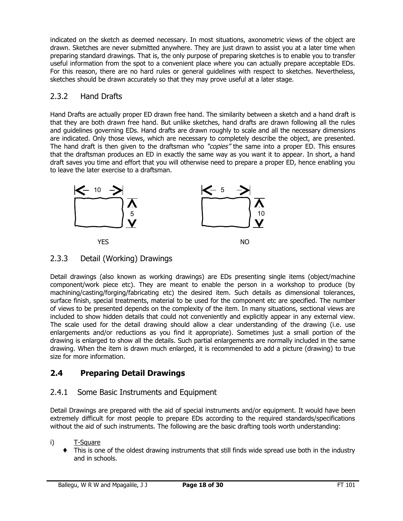indicated on the sketch as deemed necessary. In most situations, axonometric views of the object are drawn. Sketches are never submitted anywhere. They are just drawn to assist you at a later time when preparing standard drawings. That is, the only purpose of preparing sketches is to enable you to transfer useful information from the spot to a convenient place where you can actually prepare acceptable EDs. For this reason, there are no hard rules or general guidelines with respect to sketches. Nevertheless, sketches should be drawn accurately so that they may prove useful at a later stage.

## 2.3.2 Hand Drafts

Hand Drafts are actually proper ED drawn free hand. The similarity between a sketch and a hand draft is that they are both drawn free hand. But unlike sketches, hand drafts are drawn following all the rules and guidelines governing EDs. Hand drafts are drawn roughly to scale and all the necessary dimensions are indicated. Only those views, which are necessary to completely describe the object, are presented. The hand draft is then given to the draftsman who "copies" the same into a proper ED. This ensures that the draftsman produces an ED in exactly the same way as you want it to appear. In short, a hand draft saves you time and effort that you will otherwise need to prepare a proper ED, hence enabling you to leave the later exercise to a draftsman.



## 2.3.3 Detail (Working) Drawings

Detail drawings (also known as working drawings) are EDs presenting single items (object/machine component/work piece etc). They are meant to enable the person in a workshop to produce (by machining/casting/forging/fabricating etc) the desired item. Such details as dimensional tolerances, surface finish, special treatments, material to be used for the component etc are specified. The number of views to be presented depends on the complexity of the item. In many situations, sectional views are included to show hidden details that could not conveniently and explicitly appear in any external view. The scale used for the detail drawing should allow a clear understanding of the drawing (i.e. use enlargements and/or reductions as you find it appropriate). Sometimes just a small portion of the drawing is enlarged to show all the details. Such partial enlargements are normally included in the same drawing. When the item is drawn much enlarged, it is recommended to add a picture (drawing) to true size for more information.

## **2.4 Preparing Detail Drawings**

## 2.4.1 Some Basic Instruments and Equipment

Detail Drawings are prepared with the aid of special instruments and/or equipment. It would have been extremely difficult for most people to prepare EDs according to the required standards/specifications without the aid of such instruments. The following are the basic drafting tools worth understanding:

- i) T-Square
	- This is one of the oldest drawing instruments that still finds wide spread use both in the industry and in schools.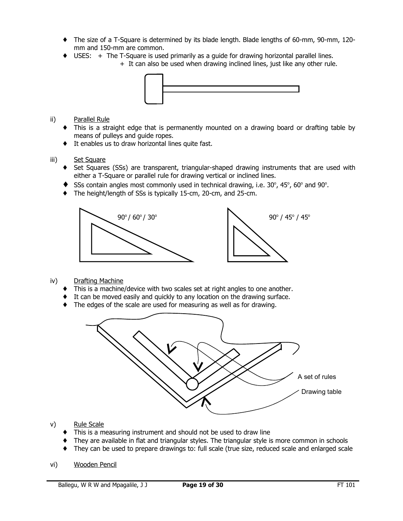- ♦ The size of a T-Square is determined by its blade length. Blade lengths of 60-mm, 90-mm, 120 mm and 150-mm are common.
- ♦ USES: + The T-Square is used primarily as a guide for drawing horizontal parallel lines.
	- + It can also be used when drawing inclined lines, just like any other rule.



- ii) Parallel Rule
	- ♦ This is a straight edge that is permanently mounted on a drawing board or drafting table by means of pulleys and guide ropes.
	- ♦ It enables us to draw horizontal lines quite fast.
- iii) Set Square
	- ♦ Set Squares (SSs) are transparent, triangular-shaped drawing instruments that are used with either a T-Square or parallel rule for drawing vertical or inclined lines.
	- $\blacklozenge$  SSs contain angles most commonly used in technical drawing, i.e. 30°, 45°, 60° and 90°.
	- ♦ The height/length of SSs is typically 15-cm, 20-cm, and 25-cm.



- iv) Drafting Machine
	- This is a machine/device with two scales set at right angles to one another.
	- ♦ It can be moved easily and quickly to any location on the drawing surface.
	- ♦ The edges of the scale are used for measuring as well as for drawing.



- v) Rule Scale
	- ♦ This is a measuring instrument and should not be used to draw line
	- They are available in flat and triangular styles. The triangular style is more common in schools
	- They can be used to prepare drawings to: full scale (true size, reduced scale and enlarged scale
- vi) Wooden Pencil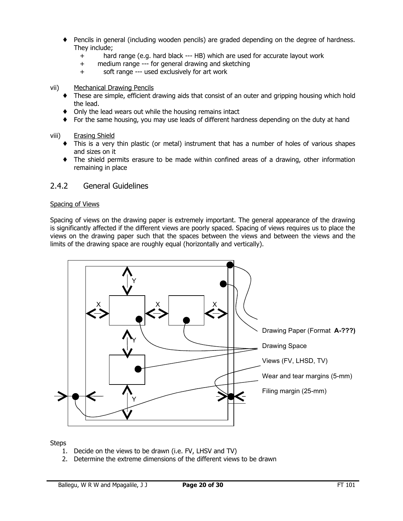- Pencils in general (including wooden pencils) are graded depending on the degree of hardness. They include;
	- + hard range (e.g. hard black --- HB) which are used for accurate layout work
	- + medium range --- for general drawing and sketching
	- + soft range --- used exclusively for art work
- vii) Mechanical Drawing Pencils
	- These are simple, efficient drawing aids that consist of an outer and gripping housing which hold the lead.
	- ♦ Only the lead wears out while the housing remains intact
	- ♦ For the same housing, you may use leads of different hardness depending on the duty at hand
- viii) Erasing Shield
	- ♦ This is a very thin plastic (or metal) instrument that has a number of holes of various shapes and sizes on it
	- ♦ The shield permits erasure to be made within confined areas of a drawing, other information remaining in place

## 2.4.2 General Guidelines

#### Spacing of Views

Spacing of views on the drawing paper is extremely important. The general appearance of the drawing is significantly affected if the different views are poorly spaced. Spacing of views requires us to place the views on the drawing paper such that the spaces between the views and between the views and the limits of the drawing space are roughly equal (horizontally and vertically).



**Steps** 

- 1. Decide on the views to be drawn (i.e. FV, LHSV and TV)
- 2. Determine the extreme dimensions of the different views to be drawn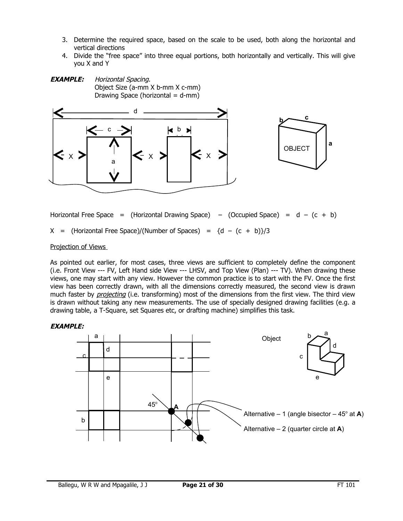- 3. Determine the required space, based on the scale to be used, both along the horizontal and vertical directions
- 4. Divide the "free space" into three equal portions, both horizontally and vertically. This will give you X and Y





Horizontal Free Space = (Horizontal Drawing Space) – (Occupied Space) =  $d - (c + b)$  $X = (Horizontal Free Space)/(Number of Spaces) = {d - (c + b)}/3$ 

#### Projection of Views

As pointed out earlier, for most cases, three views are sufficient to completely define the component (i.e. Front View --- FV, Left Hand side View --- LHSV, and Top View (Plan) --- TV). When drawing these views, one may start with any view. However the common practice is to start with the FV. Once the first view has been correctly drawn, with all the dimensions correctly measured, the second view is drawn much faster by *projecting* (i.e. transforming) most of the dimensions from the first view. The third view is drawn without taking any new measurements. The use of specially designed drawing facilities (e.g. a drawing table, a T-Square, set Squares etc, or drafting machine) simplifies this task.

## **EXAMPLE:**

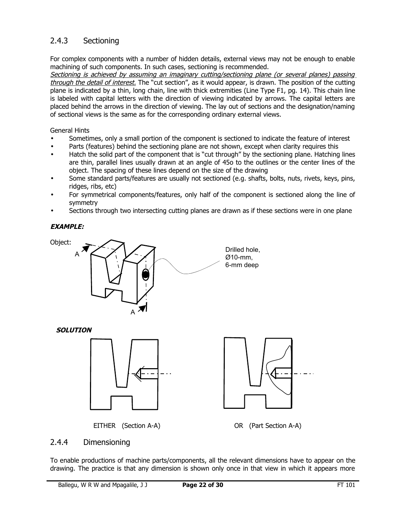## 2.4.3 Sectioning

For complex components with a number of hidden details, external views may not be enough to enable machining of such components. In such cases, sectioning is recommended.

Sectioning is achieved by assuming an imaginary cutting/sectioning plane (or several planes) passing through the detail of interest. The "cut section", as it would appear, is drawn. The position of the cutting plane is indicated by a thin, long chain, line with thick extremities (Line Type F1, pg. 14). This chain line is labeled with capital letters with the direction of viewing indicated by arrows. The capital letters are placed behind the arrows in the direction of viewing. The lay out of sections and the designation/naming of sectional views is the same as for the corresponding ordinary external views.

## General Hints

- Sometimes, only a small portion of the component is sectioned to indicate the feature of interest
- Parts (features) behind the sectioning plane are not shown, except when clarity requires this
- Hatch the solid part of the component that is "cut through" by the sectioning plane. Hatching lines are thin, parallel lines usually drawn at an angle of 45o to the outlines or the center lines of the object. The spacing of these lines depend on the size of the drawing
- Some standard parts/features are usually not sectioned (e.g. shafts, bolts, nuts, rivets, keys, pins, ridges, ribs, etc)
- For symmetrical components/features, only half of the component is sectioned along the line of symmetry
- Sections through two intersecting cutting planes are drawn as if these sections were in one plane

## **EXAMPLE:**







EITHER (Section A-A) OR (Part Section A-A)

## 2.4.4 Dimensioning

To enable productions of machine parts/components, all the relevant dimensions have to appear on the drawing. The practice is that any dimension is shown only once in that view in which it appears more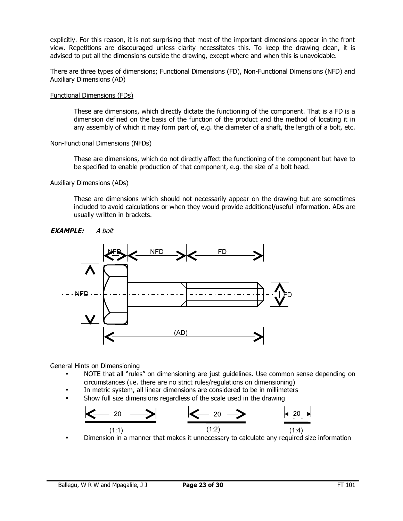explicitly. For this reason, it is not surprising that most of the important dimensions appear in the front view. Repetitions are discouraged unless clarity necessitates this. To keep the drawing clean, it is advised to put all the dimensions outside the drawing, except where and when this is unavoidable.

There are three types of dimensions; Functional Dimensions (FD), Non-Functional Dimensions (NFD) and Auxiliary Dimensions (AD)

#### Functional Dimensions (FDs)

These are dimensions, which directly dictate the functioning of the component. That is a FD is a dimension defined on the basis of the function of the product and the method of locating it in any assembly of which it may form part of, e.g. the diameter of a shaft, the length of a bolt, etc.

#### Non-Functional Dimensions (NFDs)

These are dimensions, which do not directly affect the functioning of the component but have to be specified to enable production of that component, e.g. the size of a bolt head.

#### Auxiliary Dimensions (ADs)

These are dimensions which should not necessarily appear on the drawing but are sometimes included to avoid calculations or when they would provide additional/useful information. ADs are usually written in brackets.





General Hints on Dimensioning

- NOTE that all "rules" on dimensioning are just guidelines. Use common sense depending on circumstances (i.e. there are no strict rules/regulations on dimensioning)
- In metric system, all linear dimensions are considered to be in millimeters
- Show full size dimensions regardless of the scale used in the drawing



• Dimension in a manner that makes it unnecessary to calculate any required size information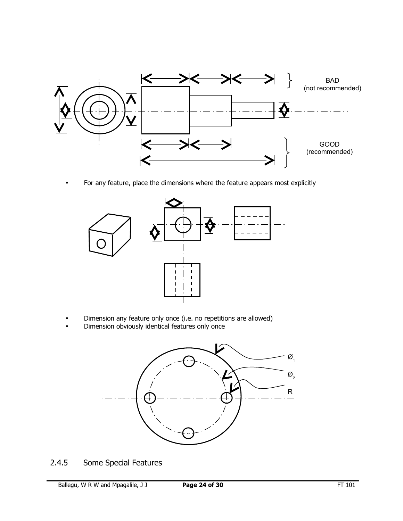

• For any feature, place the dimensions where the feature appears most explicitly



- Dimension any feature only once (i.e. no repetitions are allowed)
- Dimension obviously identical features only once



2.4.5 Some Special Features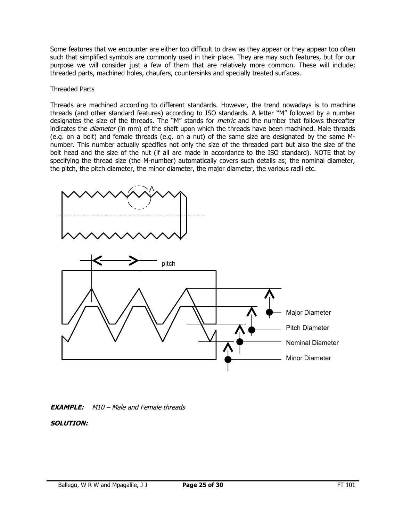Some features that we encounter are either too difficult to draw as they appear or they appear too often such that simplified symbols are commonly used in their place. They are may such features, but for our purpose we will consider just a few of them that are relatively more common. These will include; threaded parts, machined holes, chaufers, countersinks and specially treated surfaces.

#### Threaded Parts

Threads are machined according to different standards. However, the trend nowadays is to machine threads (and other standard features) according to ISO standards. A letter "M" followed by a number designates the size of the threads. The "M" stands for *metric* and the number that follows thereafter indicates the *diameter* (in mm) of the shaft upon which the threads have been machined. Male threads (e.g. on a bolt) and female threads (e.g. on a nut) of the same size are designated by the same Mnumber. This number actually specifies not only the size of the threaded part but also the size of the bolt head and the size of the nut (if all are made in accordance to the ISO standard). NOTE that by specifying the thread size (the M-number) automatically covers such details as; the nominal diameter, the pitch, the pitch diameter, the minor diameter, the major diameter, the various radii etc.





## **SOLUTION:**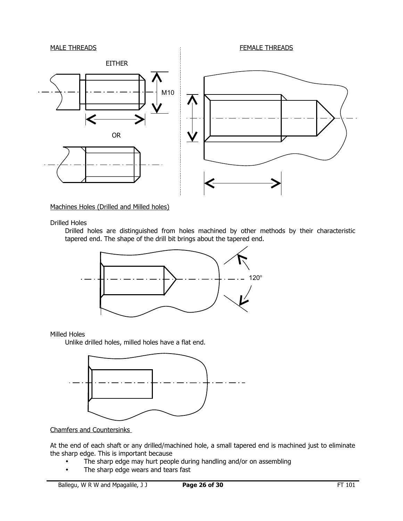

Machines Holes (Drilled and Milled holes)

Drilled Holes

Drilled holes are distinguished from holes machined by other methods by their characteristic tapered end. The shape of the drill bit brings about the tapered end.



Milled Holes

Unlike drilled holes, milled holes have a flat end.



Chamfers and Countersinks

At the end of each shaft or any drilled/machined hole, a small tapered end is machined just to eliminate the sharp edge. This is important because

- The sharp edge may hurt people during handling and/or on assembling
- The sharp edge wears and tears fast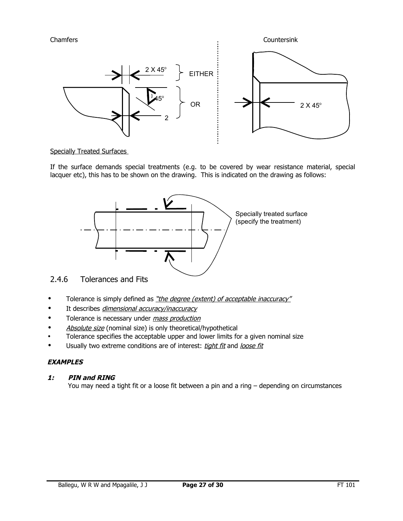

## Specially Treated Surfaces

If the surface demands special treatments (e.g. to be covered by wear resistance material, special lacquer etc), this has to be shown on the drawing. This is indicated on the drawing as follows:



## 2.4.6 Tolerances and Fits

- Tolerance is simply defined as "the degree (extent) of acceptable inaccuracy"
- It describes dimensional accuracy/inaccuracy
- Tolerance is necessary under *mass production*
- Absolute size (nominal size) is only theoretical/hypothetical
- Tolerance specifies the acceptable upper and lower limits for a given nominal size
- Usually two extreme conditions are of interest: tight fit and loose fit

## **EXAMPLES**

## **1: PIN and RING**

You may need a tight fit or a loose fit between a pin and a ring – depending on circumstances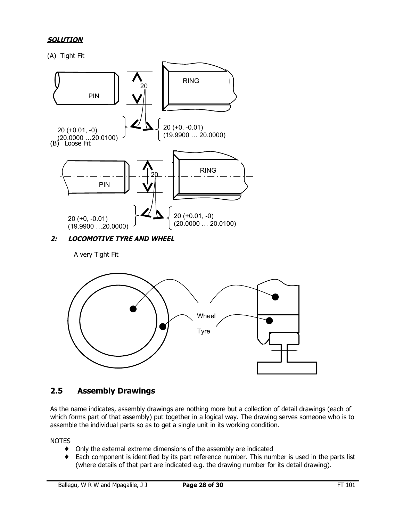## **SOLUTION**

(A) Tight Fit



**2: LOCOMOTIVE TYRE AND WHEEL** 

A very Tight Fit



## **2.5 Assembly Drawings**

As the name indicates, assembly drawings are nothing more but a collection of detail drawings (each of which forms part of that assembly) put together in a logical way. The drawing serves someone who is to assemble the individual parts so as to get a single unit in its working condition.

**NOTES** 

- ♦ Only the external extreme dimensions of the assembly are indicated
- ♦ Each component is identified by its part reference number. This number is used in the parts list (where details of that part are indicated e.g. the drawing number for its detail drawing).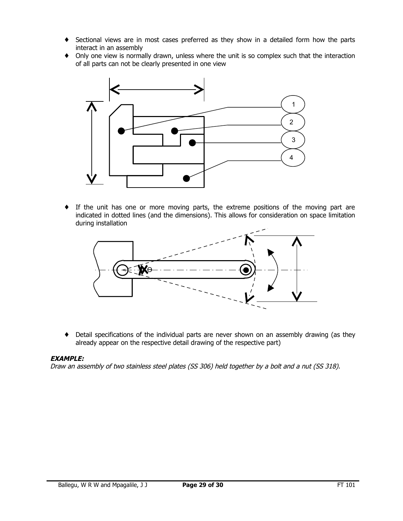- ♦ Sectional views are in most cases preferred as they show in a detailed form how the parts interact in an assembly
- ♦ Only one view is normally drawn, unless where the unit is so complex such that the interaction of all parts can not be clearly presented in one view



♦ If the unit has one or more moving parts, the extreme positions of the moving part are indicated in dotted lines (and the dimensions). This allows for consideration on space limitation during installation



♦ Detail specifications of the individual parts are never shown on an assembly drawing (as they already appear on the respective detail drawing of the respective part)

## **EXAMPLE:**

Draw an assembly of two stainless steel plates (SS 306) held together by a bolt and a nut (SS 318).